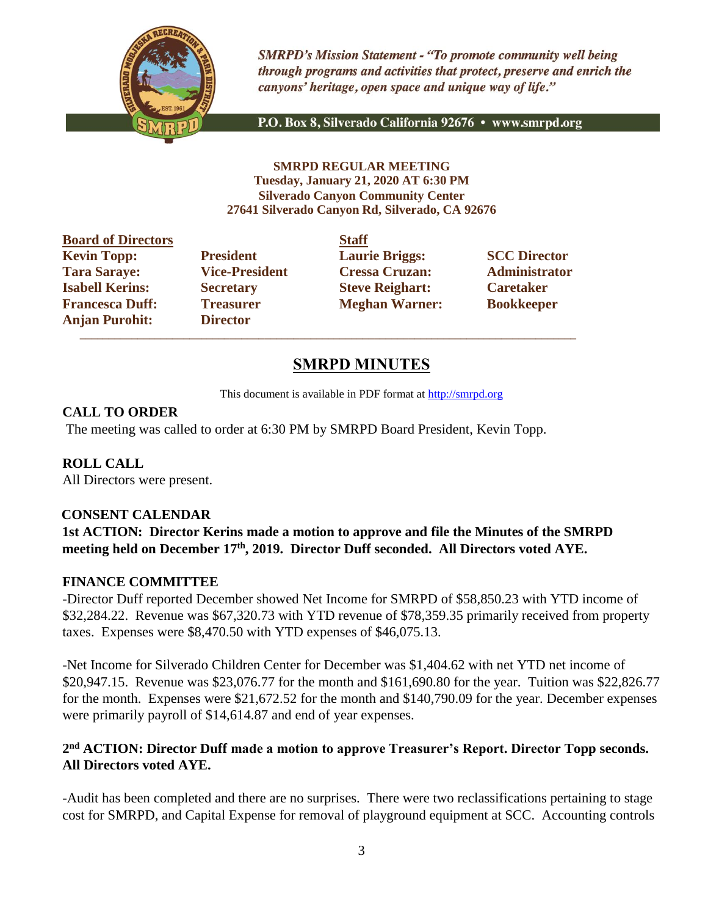

**SMRPD's Mission Statement - "To promote community well being** through programs and activities that protect, preserve and enrich the canyons' heritage, open space and unique way of life."

P.O. Box 8, Silverado California 92676 · www.smrpd.org

**SMRPD REGULAR MEETING Tuesday, January 21, 2020 AT 6:30 PM Silverado Canyon Community Center 27641 Silverado Canyon Rd, Silverado, CA 92676**

| <b>Board of Directors</b> |                       | <b>Staff</b> |
|---------------------------|-----------------------|--------------|
| <b>Kevin Topp:</b>        | <b>President</b>      | Laur         |
| <b>Tara Saraye:</b>       | <b>Vice-President</b> | <b>Cres</b>  |
| <b>Isabell Kerins:</b>    | <b>Secretary</b>      | <b>Steve</b> |
| <b>Francesca Duff:</b>    | <b>Treasurer</b>      | <b>Megl</b>  |
| <b>Anjan Purohit:</b>     | <b>Director</b>       |              |

**Director** \_\_\_\_\_\_\_\_\_\_\_\_\_\_\_\_\_\_\_\_\_\_\_\_\_\_\_\_\_\_\_\_\_\_\_\_\_\_\_\_\_\_\_\_\_\_\_\_\_\_\_\_\_\_\_\_\_\_\_\_\_\_\_\_\_\_\_\_\_\_\_\_\_\_\_\_\_\_\_\_\_\_\_\_\_\_

**Fresident Laurie Briggs: SCC Director Tara Saraye: Vice-President Cressa Cruzan: Administrator Isabelle Reighart: Caretaker Caretaker Freasurer Meghan Warner: Bookkeeper** 

## **SMRPD MINUTES**

This document is available in PDF format at [http://smrpd.org](about:blank)

#### **CALL TO ORDER**

The meeting was called to order at 6:30 PM by SMRPD Board President, Kevin Topp.

**ROLL CALL**

# All Directors were present.

#### **CONSENT CALENDAR**

**1st ACTION: Director Kerins made a motion to approve and file the Minutes of the SMRPD meeting held on December 17th, 2019. Director Duff seconded. All Directors voted AYE.**

#### **FINANCE COMMITTEE**

-Director Duff reported December showed Net Income for SMRPD of \$58,850.23 with YTD income of \$32,284.22. Revenue was \$67,320.73 with YTD revenue of \$78,359.35 primarily received from property taxes. Expenses were \$8,470.50 with YTD expenses of \$46,075.13.

-Net Income for Silverado Children Center for December was \$1,404.62 with net YTD net income of \$20,947.15. Revenue was \$23,076.77 for the month and \$161,690.80 for the year. Tuition was \$22,826.77 for the month. Expenses were \$21,672.52 for the month and \$140,790.09 for the year. December expenses were primarily payroll of \$14,614.87 and end of year expenses.

## **2 nd ACTION: Director Duff made a motion to approve Treasurer's Report. Director Topp seconds. All Directors voted AYE.**

-Audit has been completed and there are no surprises. There were two reclassifications pertaining to stage cost for SMRPD, and Capital Expense for removal of playground equipment at SCC. Accounting controls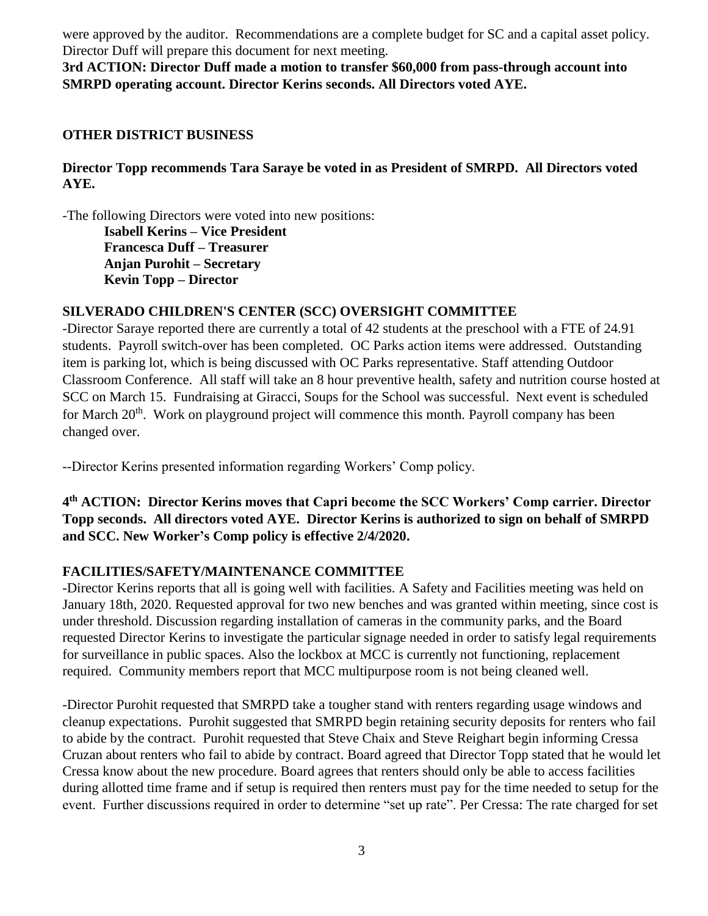were approved by the auditor. Recommendations are a complete budget for SC and a capital asset policy. Director Duff will prepare this document for next meeting.

**3rd ACTION: Director Duff made a motion to transfer \$60,000 from pass-through account into SMRPD operating account. Director Kerins seconds. All Directors voted AYE.**

#### **OTHER DISTRICT BUSINESS**

#### **Director Topp recommends Tara Saraye be voted in as President of SMRPD. All Directors voted AYE.**

-The following Directors were voted into new positions:

**Isabell Kerins – Vice President Francesca Duff – Treasurer Anjan Purohit – Secretary Kevin Topp – Director**

## **SILVERADO CHILDREN'S CENTER (SCC) OVERSIGHT COMMITTEE**

-Director Saraye reported there are currently a total of 42 students at the preschool with a FTE of 24.91 students. Payroll switch-over has been completed. OC Parks action items were addressed. Outstanding item is parking lot, which is being discussed with OC Parks representative. Staff attending Outdoor Classroom Conference. All staff will take an 8 hour preventive health, safety and nutrition course hosted at SCC on March 15. Fundraising at Giracci, Soups for the School was successful. Next event is scheduled for March  $20<sup>th</sup>$ . Work on playground project will commence this month. Payroll company has been changed over.

--Director Kerins presented information regarding Workers' Comp policy.

**4 th ACTION: Director Kerins moves that Capri become the SCC Workers' Comp carrier. Director Topp seconds. All directors voted AYE. Director Kerins is authorized to sign on behalf of SMRPD and SCC. New Worker's Comp policy is effective 2/4/2020.**

#### **FACILITIES/SAFETY/MAINTENANCE COMMITTEE**

-Director Kerins reports that all is going well with facilities. A Safety and Facilities meeting was held on January 18th, 2020. Requested approval for two new benches and was granted within meeting, since cost is under threshold. Discussion regarding installation of cameras in the community parks, and the Board requested Director Kerins to investigate the particular signage needed in order to satisfy legal requirements for surveillance in public spaces. Also the lockbox at MCC is currently not functioning, replacement required. Community members report that MCC multipurpose room is not being cleaned well.

-Director Purohit requested that SMRPD take a tougher stand with renters regarding usage windows and cleanup expectations. Purohit suggested that SMRPD begin retaining security deposits for renters who fail to abide by the contract. Purohit requested that Steve Chaix and Steve Reighart begin informing Cressa Cruzan about renters who fail to abide by contract. Board agreed that Director Topp stated that he would let Cressa know about the new procedure. Board agrees that renters should only be able to access facilities during allotted time frame and if setup is required then renters must pay for the time needed to setup for the event. Further discussions required in order to determine "set up rate". Per Cressa: The rate charged for set